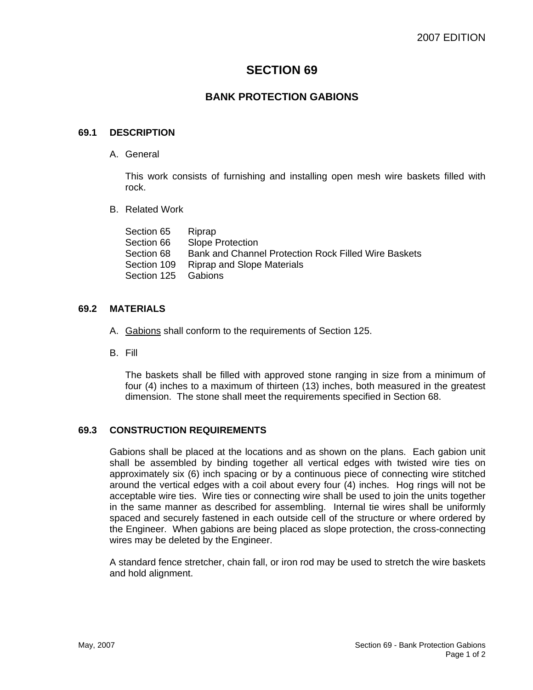# **SECTION 69**

# **BANK PROTECTION GABIONS**

## **69.1 DESCRIPTION**

A. General

This work consists of furnishing and installing open mesh wire baskets filled with rock.

B. Related Work

| Riprap                                               |
|------------------------------------------------------|
| <b>Slope Protection</b>                              |
| Bank and Channel Protection Rock Filled Wire Baskets |
| <b>Riprap and Slope Materials</b>                    |
| Section 125 Gabions                                  |
|                                                      |

#### **69.2 MATERIALS**

- A. Gabions shall conform to the requirements of Section 125.
- B. Fill

The baskets shall be filled with approved stone ranging in size from a minimum of four (4) inches to a maximum of thirteen (13) inches, both measured in the greatest dimension. The stone shall meet the requirements specified in Section 68.

# **69.3 CONSTRUCTION REQUIREMENTS**

Gabions shall be placed at the locations and as shown on the plans. Each gabion unit shall be assembled by binding together all vertical edges with twisted wire ties on approximately six (6) inch spacing or by a continuous piece of connecting wire stitched around the vertical edges with a coil about every four (4) inches. Hog rings will not be acceptable wire ties. Wire ties or connecting wire shall be used to join the units together in the same manner as described for assembling. Internal tie wires shall be uniformly spaced and securely fastened in each outside cell of the structure or where ordered by the Engineer. When gabions are being placed as slope protection, the cross-connecting wires may be deleted by the Engineer.

A standard fence stretcher, chain fall, or iron rod may be used to stretch the wire baskets and hold alignment.